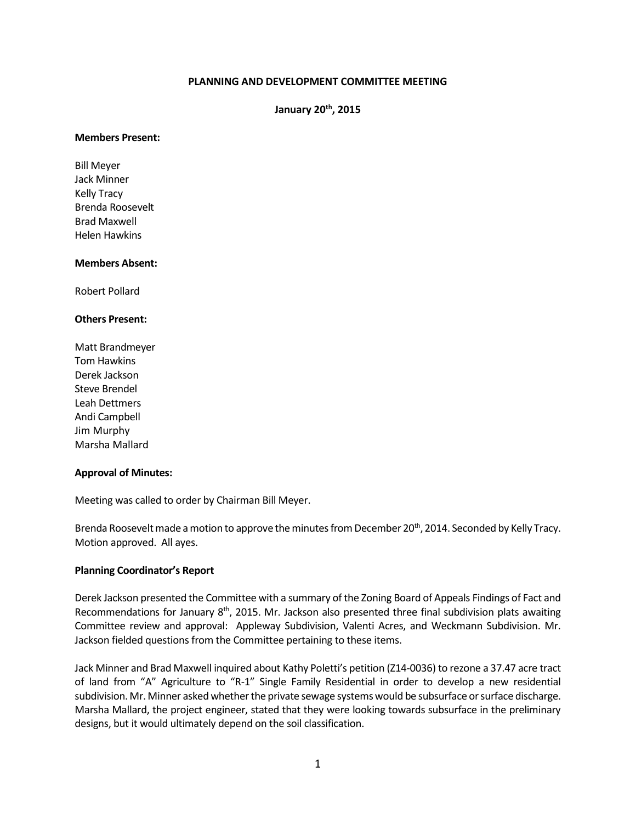### **PLANNING AND DEVELOPMENT COMMITTEE MEETING**

# **January 20th, 2015**

#### **Members Present:**

Bill Meyer Jack Minner Kelly Tracy Brenda Roosevelt Brad Maxwell Helen Hawkins

### **Members Absent:**

Robert Pollard

#### **Others Present:**

Matt Brandmeyer Tom Hawkins Derek Jackson Steve Brendel Leah Dettmers Andi Campbell Jim Murphy Marsha Mallard

### **Approval of Minutes:**

Meeting was called to order by Chairman Bill Meyer.

Brenda Roosevelt made a motion to approve the minutes from December 20<sup>th</sup>, 2014. Seconded by Kelly Tracy. Motion approved. All ayes.

### **Planning Coordinator's Report**

Derek Jackson presented the Committee with a summary of the Zoning Board of Appeals Findings of Fact and Recommendations for January 8<sup>th</sup>, 2015. Mr. Jackson also presented three final subdivision plats awaiting Committee review and approval: Appleway Subdivision, Valenti Acres, and Weckmann Subdivision. Mr. Jackson fielded questions from the Committee pertaining to these items.

Jack Minner and Brad Maxwell inquired about Kathy Poletti's petition (Z14-0036) to rezone a 37.47 acre tract of land from "A" Agriculture to "R-1" Single Family Residential in order to develop a new residential subdivision.Mr. Minner asked whether the private sewage systems would be subsurface or surface discharge. Marsha Mallard, the project engineer, stated that they were looking towards subsurface in the preliminary designs, but it would ultimately depend on the soil classification.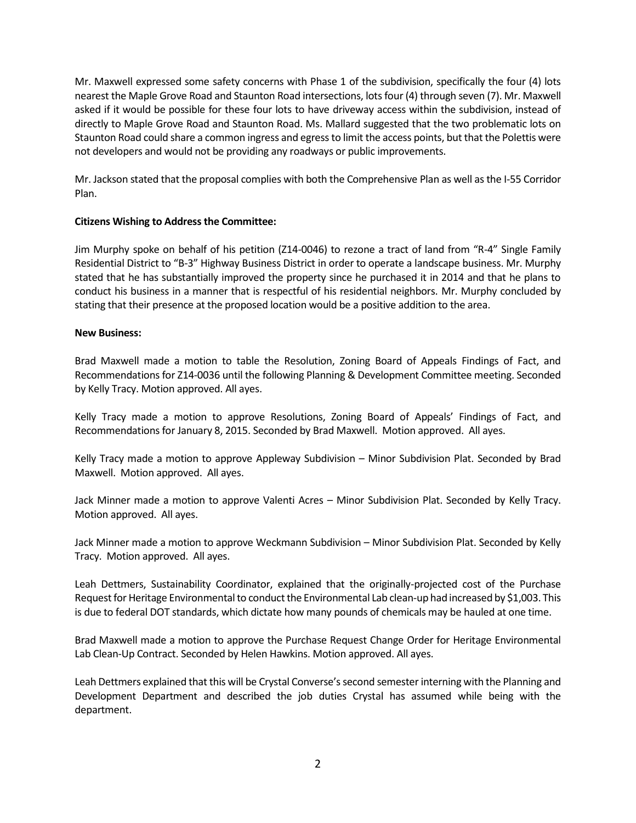Mr. Maxwell expressed some safety concerns with Phase 1 of the subdivision, specifically the four (4) lots nearest the Maple Grove Road and Staunton Road intersections, lots four (4) through seven (7). Mr. Maxwell asked if it would be possible for these four lots to have driveway access within the subdivision, instead of directly to Maple Grove Road and Staunton Road. Ms. Mallard suggested that the two problematic lots on Staunton Road could share a common ingress and egress to limit the access points, but that the Polettis were not developers and would not be providing any roadways or public improvements.

Mr. Jackson stated that the proposal complies with both the Comprehensive Plan as well as the I-55 Corridor Plan.

# **Citizens Wishing to Address the Committee:**

Jim Murphy spoke on behalf of his petition (Z14-0046) to rezone a tract of land from "R-4" Single Family Residential District to "B-3" Highway Business District in order to operate a landscape business. Mr. Murphy stated that he has substantially improved the property since he purchased it in 2014 and that he plans to conduct his business in a manner that is respectful of his residential neighbors. Mr. Murphy concluded by stating that their presence at the proposed location would be a positive addition to the area.

# **New Business:**

Brad Maxwell made a motion to table the Resolution, Zoning Board of Appeals Findings of Fact, and Recommendations for Z14-0036 until the following Planning & Development Committee meeting. Seconded by Kelly Tracy. Motion approved. All ayes.

Kelly Tracy made a motion to approve Resolutions, Zoning Board of Appeals' Findings of Fact, and Recommendations for January 8, 2015. Seconded by Brad Maxwell. Motion approved. All ayes.

Kelly Tracy made a motion to approve Appleway Subdivision – Minor Subdivision Plat. Seconded by Brad Maxwell. Motion approved. All ayes.

Jack Minner made a motion to approve Valenti Acres – Minor Subdivision Plat. Seconded by Kelly Tracy. Motion approved. All ayes.

Jack Minner made a motion to approve Weckmann Subdivision – Minor Subdivision Plat. Seconded by Kelly Tracy. Motion approved. All ayes.

Leah Dettmers, Sustainability Coordinator, explained that the originally-projected cost of the Purchase Request for Heritage Environmental to conduct the Environmental Lab clean-up had increased by \$1,003. This is due to federal DOT standards, which dictate how many pounds of chemicals may be hauled at one time.

Brad Maxwell made a motion to approve the Purchase Request Change Order for Heritage Environmental Lab Clean-Up Contract. Seconded by Helen Hawkins. Motion approved. All ayes.

Leah Dettmers explained that this will be Crystal Converse's second semester interning with the Planning and Development Department and described the job duties Crystal has assumed while being with the department.